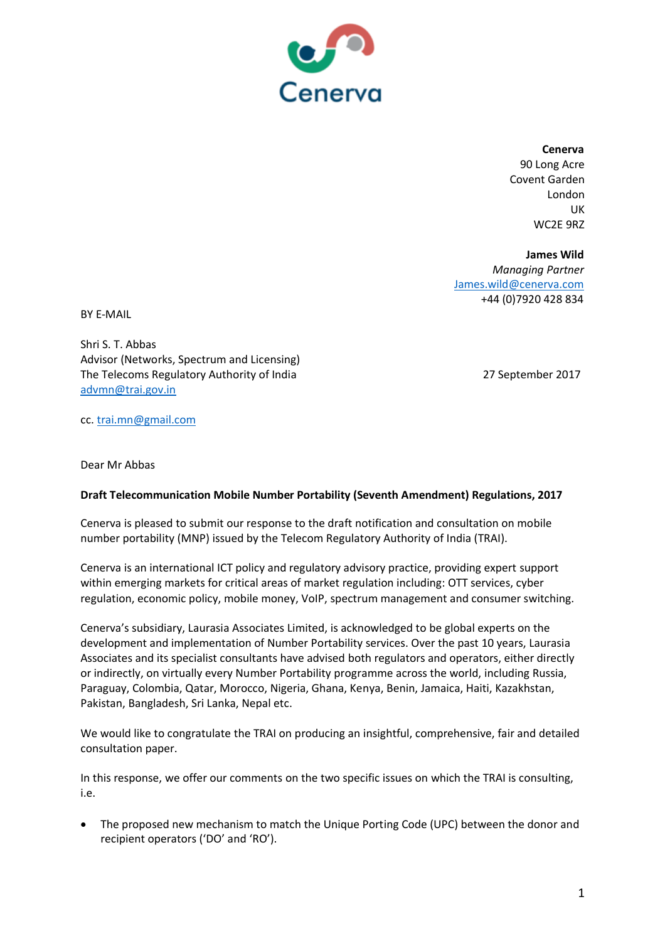

**Cenerva**

90 Long Acre Covent Garden London UK WC2E 9RZ

**James Wild** *Managing Partner* [James.wild@cenerva.com](mailto:James.wild@cenerva.com) +44 (0)7920 428 834

BY E-MAIL

Shri S. T. Abbas Advisor (Networks, Spectrum and Licensing) The Telecoms Regulatory Authority of India 27 September 2017 [advmn@trai.gov.in](mailto:advmn@trai.gov.in)

cc[. trai.mn@gmail.com](mailto:trai.mn@gmail.com)

Dear Mr Abbas

## **Draft Telecommunication Mobile Number Portability (Seventh Amendment) Regulations, 2017**

Cenerva is pleased to submit our response to the draft notification and consultation on mobile number portability (MNP) issued by the Telecom Regulatory Authority of India (TRAI).

Cenerva is an international ICT policy and regulatory advisory practice, providing expert support within emerging markets for critical areas of market regulation including: OTT services, cyber regulation, economic policy, mobile money, VoIP, spectrum management and consumer switching.

Cenerva's subsidiary, Laurasia Associates Limited, is acknowledged to be global experts on the development and implementation of Number Portability services. Over the past 10 years, Laurasia Associates and its specialist consultants have advised both regulators and operators, either directly or indirectly, on virtually every Number Portability programme across the world, including Russia, Paraguay, Colombia, Qatar, Morocco, Nigeria, Ghana, Kenya, Benin, Jamaica, Haiti, Kazakhstan, Pakistan, Bangladesh, Sri Lanka, Nepal etc.

We would like to congratulate the TRAI on producing an insightful, comprehensive, fair and detailed consultation paper.

In this response, we offer our comments on the two specific issues on which the TRAI is consulting, i.e.

• The proposed new mechanism to match the Unique Porting Code (UPC) between the donor and recipient operators ('DO' and 'RO').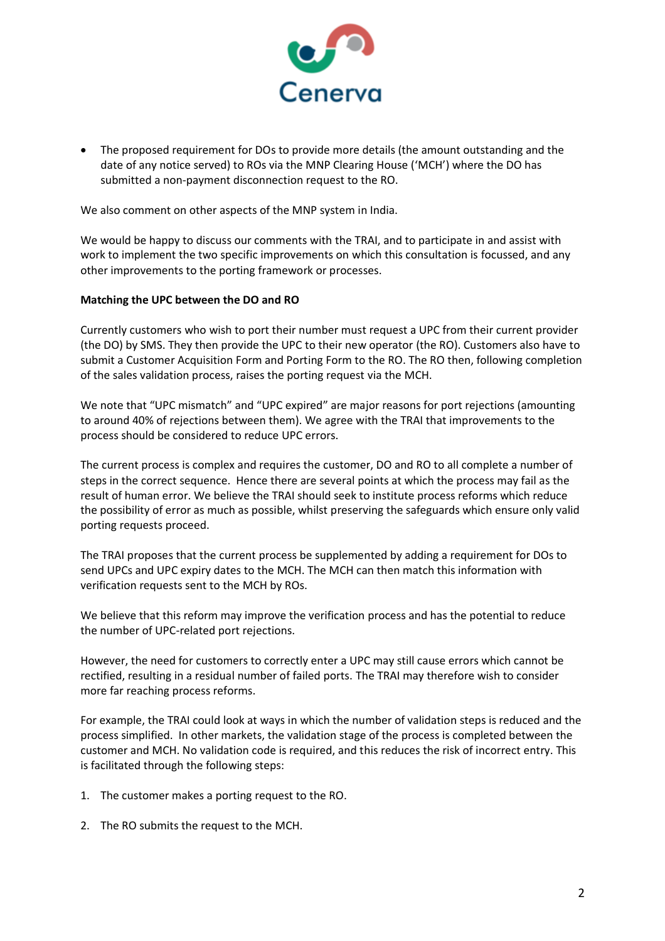

• The proposed requirement for DOs to provide more details (the amount outstanding and the date of any notice served) to ROs via the MNP Clearing House ('MCH') where the DO has submitted a non-payment disconnection request to the RO.

We also comment on other aspects of the MNP system in India.

We would be happy to discuss our comments with the TRAI, and to participate in and assist with work to implement the two specific improvements on which this consultation is focussed, and any other improvements to the porting framework or processes.

## **Matching the UPC between the DO and RO**

Currently customers who wish to port their number must request a UPC from their current provider (the DO) by SMS. They then provide the UPC to their new operator (the RO). Customers also have to submit a Customer Acquisition Form and Porting Form to the RO. The RO then, following completion of the sales validation process, raises the porting request via the MCH.

We note that "UPC mismatch" and "UPC expired" are major reasons for port rejections (amounting to around 40% of rejections between them). We agree with the TRAI that improvements to the process should be considered to reduce UPC errors.

The current process is complex and requires the customer, DO and RO to all complete a number of steps in the correct sequence. Hence there are several points at which the process may fail as the result of human error. We believe the TRAI should seek to institute process reforms which reduce the possibility of error as much as possible, whilst preserving the safeguards which ensure only valid porting requests proceed.

The TRAI proposes that the current process be supplemented by adding a requirement for DOs to send UPCs and UPC expiry dates to the MCH. The MCH can then match this information with verification requests sent to the MCH by ROs.

We believe that this reform may improve the verification process and has the potential to reduce the number of UPC-related port rejections.

However, the need for customers to correctly enter a UPC may still cause errors which cannot be rectified, resulting in a residual number of failed ports. The TRAI may therefore wish to consider more far reaching process reforms.

For example, the TRAI could look at ways in which the number of validation steps is reduced and the process simplified. In other markets, the validation stage of the process is completed between the customer and MCH. No validation code is required, and this reduces the risk of incorrect entry. This is facilitated through the following steps:

- 1. The customer makes a porting request to the RO.
- 2. The RO submits the request to the MCH.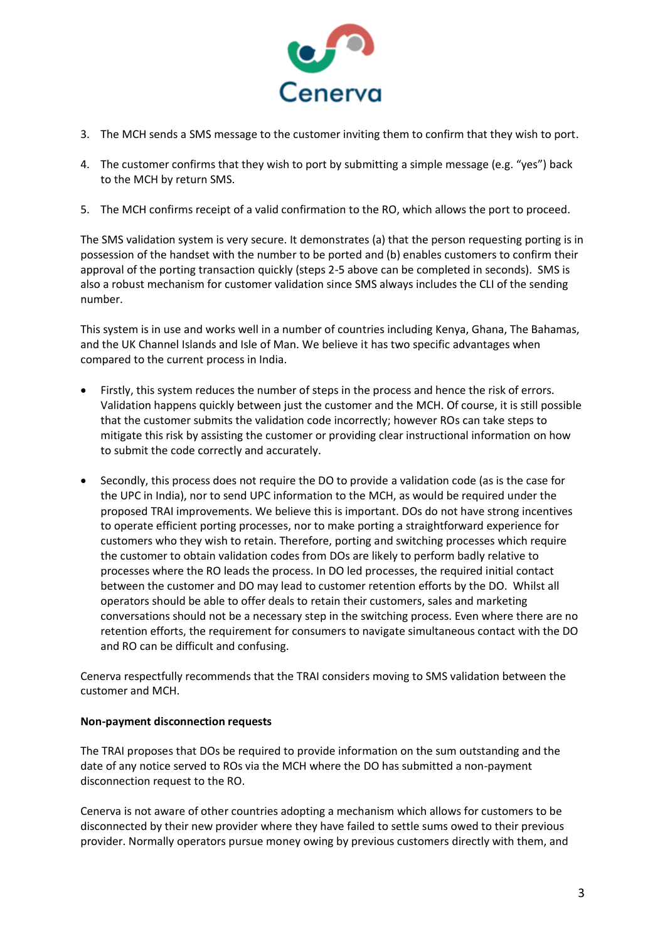

- 3. The MCH sends a SMS message to the customer inviting them to confirm that they wish to port.
- 4. The customer confirms that they wish to port by submitting a simple message (e.g. "yes") back to the MCH by return SMS.
- 5. The MCH confirms receipt of a valid confirmation to the RO, which allows the port to proceed.

The SMS validation system is very secure. It demonstrates (a) that the person requesting porting is in possession of the handset with the number to be ported and (b) enables customers to confirm their approval of the porting transaction quickly (steps 2-5 above can be completed in seconds). SMS is also a robust mechanism for customer validation since SMS always includes the CLI of the sending number.

This system is in use and works well in a number of countries including Kenya, Ghana, The Bahamas, and the UK Channel Islands and Isle of Man. We believe it has two specific advantages when compared to the current process in India.

- Firstly, this system reduces the number of steps in the process and hence the risk of errors. Validation happens quickly between just the customer and the MCH. Of course, it is still possible that the customer submits the validation code incorrectly; however ROs can take steps to mitigate this risk by assisting the customer or providing clear instructional information on how to submit the code correctly and accurately.
- Secondly, this process does not require the DO to provide a validation code (as is the case for the UPC in India), nor to send UPC information to the MCH, as would be required under the proposed TRAI improvements. We believe this is important. DOs do not have strong incentives to operate efficient porting processes, nor to make porting a straightforward experience for customers who they wish to retain. Therefore, porting and switching processes which require the customer to obtain validation codes from DOs are likely to perform badly relative to processes where the RO leads the process. In DO led processes, the required initial contact between the customer and DO may lead to customer retention efforts by the DO. Whilst all operators should be able to offer deals to retain their customers, sales and marketing conversations should not be a necessary step in the switching process. Even where there are no retention efforts, the requirement for consumers to navigate simultaneous contact with the DO and RO can be difficult and confusing.

Cenerva respectfully recommends that the TRAI considers moving to SMS validation between the customer and MCH.

## **Non-payment disconnection requests**

The TRAI proposes that DOs be required to provide information on the sum outstanding and the date of any notice served to ROs via the MCH where the DO has submitted a non-payment disconnection request to the RO.

Cenerva is not aware of other countries adopting a mechanism which allows for customers to be disconnected by their new provider where they have failed to settle sums owed to their previous provider. Normally operators pursue money owing by previous customers directly with them, and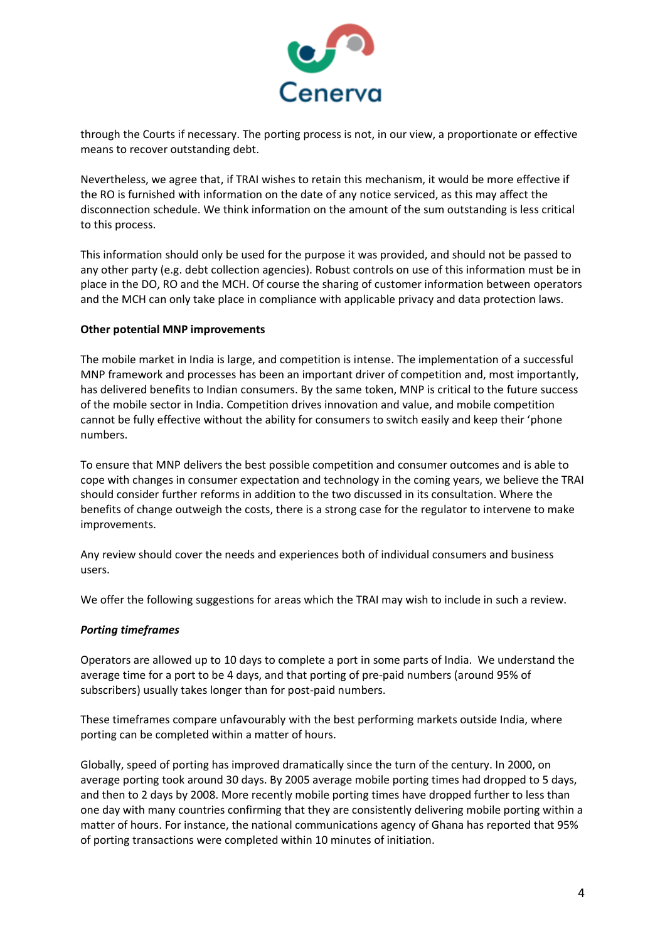

through the Courts if necessary. The porting process is not, in our view, a proportionate or effective means to recover outstanding debt.

Nevertheless, we agree that, if TRAI wishes to retain this mechanism, it would be more effective if the RO is furnished with information on the date of any notice serviced, as this may affect the disconnection schedule. We think information on the amount of the sum outstanding is less critical to this process.

This information should only be used for the purpose it was provided, and should not be passed to any other party (e.g. debt collection agencies). Robust controls on use of this information must be in place in the DO, RO and the MCH. Of course the sharing of customer information between operators and the MCH can only take place in compliance with applicable privacy and data protection laws.

## **Other potential MNP improvements**

The mobile market in India is large, and competition is intense. The implementation of a successful MNP framework and processes has been an important driver of competition and, most importantly, has delivered benefits to Indian consumers. By the same token, MNP is critical to the future success of the mobile sector in India. Competition drives innovation and value, and mobile competition cannot be fully effective without the ability for consumers to switch easily and keep their 'phone numbers.

To ensure that MNP delivers the best possible competition and consumer outcomes and is able to cope with changes in consumer expectation and technology in the coming years, we believe the TRAI should consider further reforms in addition to the two discussed in its consultation. Where the benefits of change outweigh the costs, there is a strong case for the regulator to intervene to make improvements.

Any review should cover the needs and experiences both of individual consumers and business users.

We offer the following suggestions for areas which the TRAI may wish to include in such a review.

## *Porting timeframes*

Operators are allowed up to 10 days to complete a port in some parts of India. We understand the average time for a port to be 4 days, and that porting of pre-paid numbers (around 95% of subscribers) usually takes longer than for post-paid numbers.

These timeframes compare unfavourably with the best performing markets outside India, where porting can be completed within a matter of hours.

Globally, speed of porting has improved dramatically since the turn of the century. In 2000, on average porting took around 30 days. By 2005 average mobile porting times had dropped to 5 days, and then to 2 days by 2008. More recently mobile porting times have dropped further to less than one day with many countries confirming that they are consistently delivering mobile porting within a matter of hours. For instance, the national communications agency of Ghana has reported that 95% of porting transactions were completed within 10 minutes of initiation.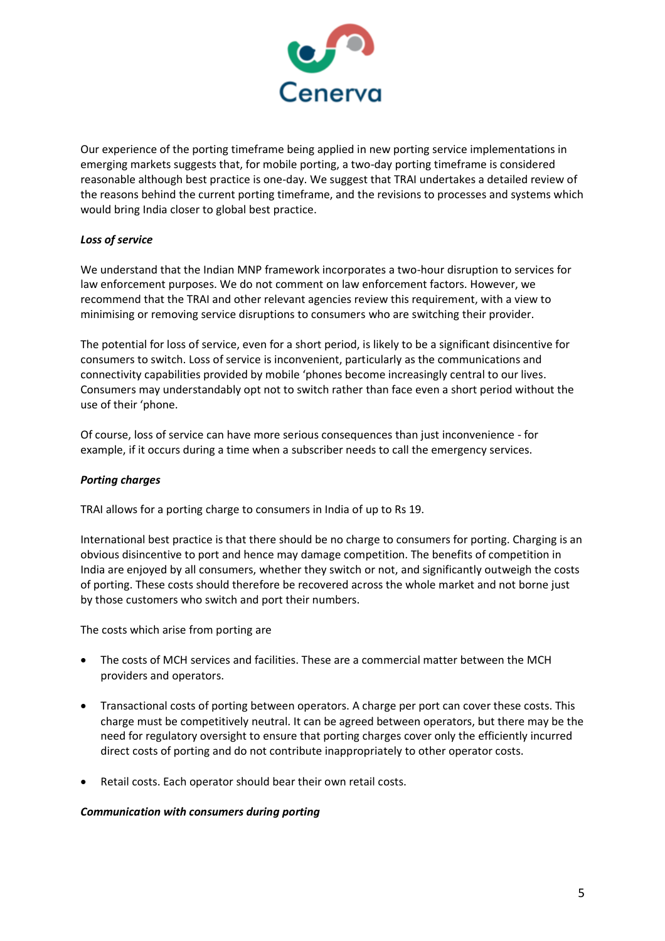

Our experience of the porting timeframe being applied in new porting service implementations in emerging markets suggests that, for mobile porting, a two-day porting timeframe is considered reasonable although best practice is one-day. We suggest that TRAI undertakes a detailed review of the reasons behind the current porting timeframe, and the revisions to processes and systems which would bring India closer to global best practice.

# *Loss of service*

We understand that the Indian MNP framework incorporates a two-hour disruption to services for law enforcement purposes. We do not comment on law enforcement factors. However, we recommend that the TRAI and other relevant agencies review this requirement, with a view to minimising or removing service disruptions to consumers who are switching their provider.

The potential for loss of service, even for a short period, is likely to be a significant disincentive for consumers to switch. Loss of service is inconvenient, particularly as the communications and connectivity capabilities provided by mobile 'phones become increasingly central to our lives. Consumers may understandably opt not to switch rather than face even a short period without the use of their 'phone.

Of course, loss of service can have more serious consequences than just inconvenience - for example, if it occurs during a time when a subscriber needs to call the emergency services.

# *Porting charges*

TRAI allows for a porting charge to consumers in India of up to Rs 19.

International best practice is that there should be no charge to consumers for porting. Charging is an obvious disincentive to port and hence may damage competition. The benefits of competition in India are enjoyed by all consumers, whether they switch or not, and significantly outweigh the costs of porting. These costs should therefore be recovered across the whole market and not borne just by those customers who switch and port their numbers.

The costs which arise from porting are

- The costs of MCH services and facilities. These are a commercial matter between the MCH providers and operators.
- Transactional costs of porting between operators. A charge per port can cover these costs. This charge must be competitively neutral. It can be agreed between operators, but there may be the need for regulatory oversight to ensure that porting charges cover only the efficiently incurred direct costs of porting and do not contribute inappropriately to other operator costs.
- Retail costs. Each operator should bear their own retail costs.

## *Communication with consumers during porting*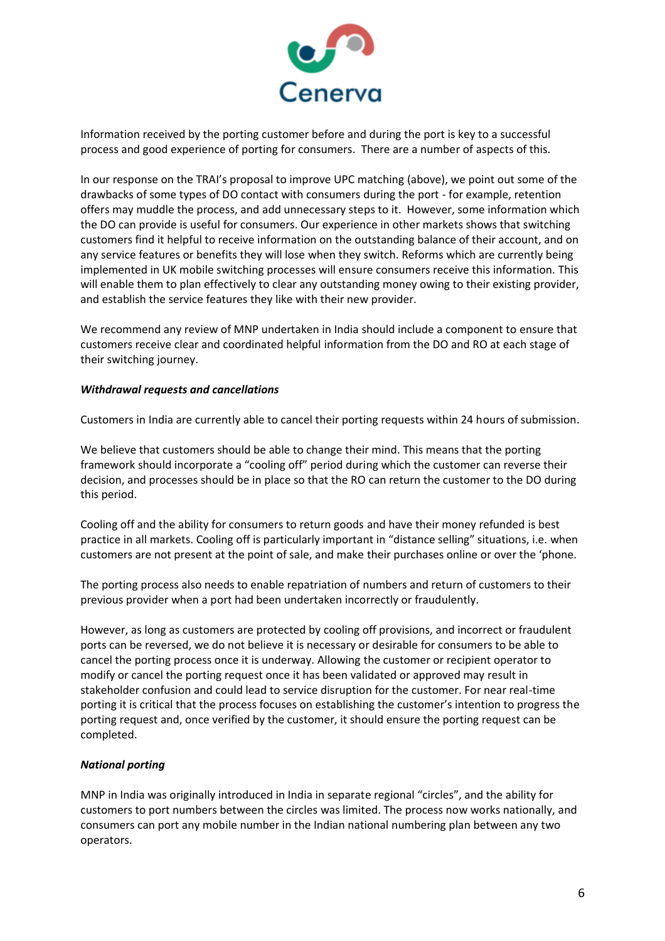

Information received by the porting customer before and during the port is key to a successful process and good experience of porting for consumers. There are a number of aspects of this.

In our response on the TRAI's proposal to improve UPC matching (above), we point out some of the drawbacks of some types of DO contact with consumers during the port - for example, retention offers may muddle the process, and add unnecessary steps to it. However, some information which the DO can provide is useful for consumers. Our experience in other markets shows that switching customers find it helpful to receive information on the outstanding balance of their account, and on any service features or benefits they will lose when they switch. Reforms which are currently being implemented in UK mobile switching processes will ensure consumers receive this information. This will enable them to plan effectively to clear any outstanding money owing to their existing provider, and establish the service features they like with their new provider.

We recommend any review of MNP undertaken in India should include a component to ensure that customers receive clear and coordinated helpful information from the DO and RO at each stage of their switching journey.

## *Withdrawal requests and cancellations*

Customers in India are currently able to cancel their porting requests within 24 hours of submission.

We believe that customers should be able to change their mind. This means that the porting framework should incorporate a "cooling off" period during which the customer can reverse their decision, and processes should be in place so that the RO can return the customer to the DO during this period.

Cooling off and the ability for consumers to return goods and have their money refunded is best practice in all markets. Cooling off is particularly important in "distance selling" situations, i.e. when customers are not present at the point of sale, and make their purchases online or over the 'phone.

The porting process also needs to enable repatriation of numbers and return of customers to their previous provider when a port had been undertaken incorrectly or fraudulently.

However, as long as customers are protected by cooling off provisions, and incorrect or fraudulent ports can be reversed, we do not believe it is necessary or desirable for consumers to be able to cancel the porting process once it is underway. Allowing the customer or recipient operator to modify or cancel the porting request once it has been validated or approved may result in stakeholder confusion and could lead to service disruption for the customer. For near real-time porting it is critical that the process focuses on establishing the customer's intention to progress the porting request and, once verified by the customer, it should ensure the porting request can be completed.

## *National porting*

MNP in India was originally introduced in India in separate regional "circles", and the ability for customers to port numbers between the circles was limited. The process now works nationally, and consumers can port any mobile number in the Indian national numbering plan between any two operators.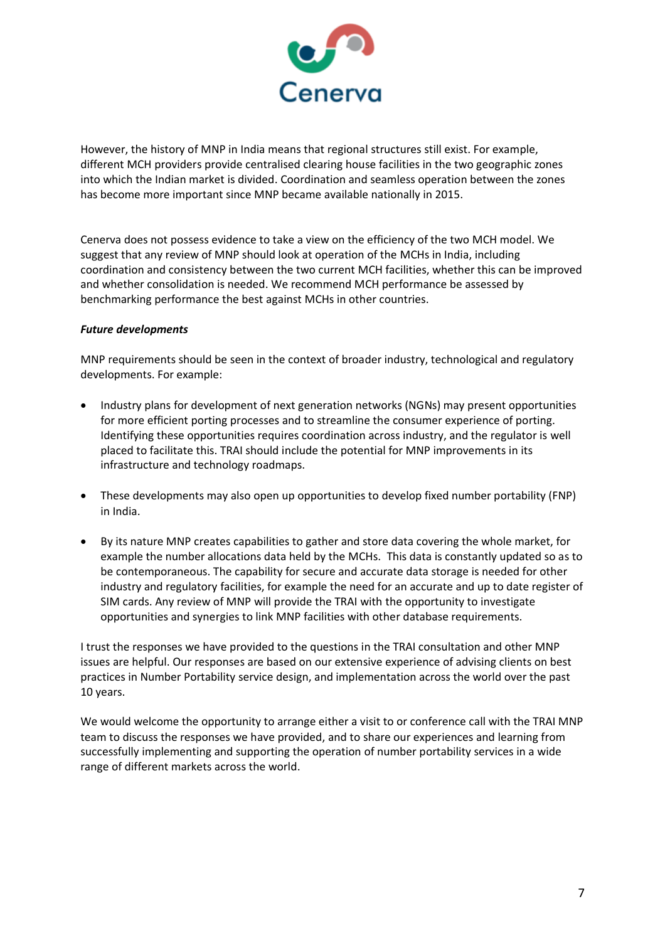

However, the history of MNP in India means that regional structures still exist. For example, different MCH providers provide centralised clearing house facilities in the two geographic zones into which the Indian market is divided. Coordination and seamless operation between the zones has become more important since MNP became available nationally in 2015.

Cenerva does not possess evidence to take a view on the efficiency of the two MCH model. We suggest that any review of MNP should look at operation of the MCHs in India, including coordination and consistency between the two current MCH facilities, whether this can be improved and whether consolidation is needed. We recommend MCH performance be assessed by benchmarking performance the best against MCHs in other countries.

## *Future developments*

MNP requirements should be seen in the context of broader industry, technological and regulatory developments. For example:

- Industry plans for development of next generation networks (NGNs) may present opportunities for more efficient porting processes and to streamline the consumer experience of porting. Identifying these opportunities requires coordination across industry, and the regulator is well placed to facilitate this. TRAI should include the potential for MNP improvements in its infrastructure and technology roadmaps.
- These developments may also open up opportunities to develop fixed number portability (FNP) in India.
- By its nature MNP creates capabilities to gather and store data covering the whole market, for example the number allocations data held by the MCHs. This data is constantly updated so as to be contemporaneous. The capability for secure and accurate data storage is needed for other industry and regulatory facilities, for example the need for an accurate and up to date register of SIM cards. Any review of MNP will provide the TRAI with the opportunity to investigate opportunities and synergies to link MNP facilities with other database requirements.

I trust the responses we have provided to the questions in the TRAI consultation and other MNP issues are helpful. Our responses are based on our extensive experience of advising clients on best practices in Number Portability service design, and implementation across the world over the past 10 years.

We would welcome the opportunity to arrange either a visit to or conference call with the TRAI MNP team to discuss the responses we have provided, and to share our experiences and learning from successfully implementing and supporting the operation of number portability services in a wide range of different markets across the world.